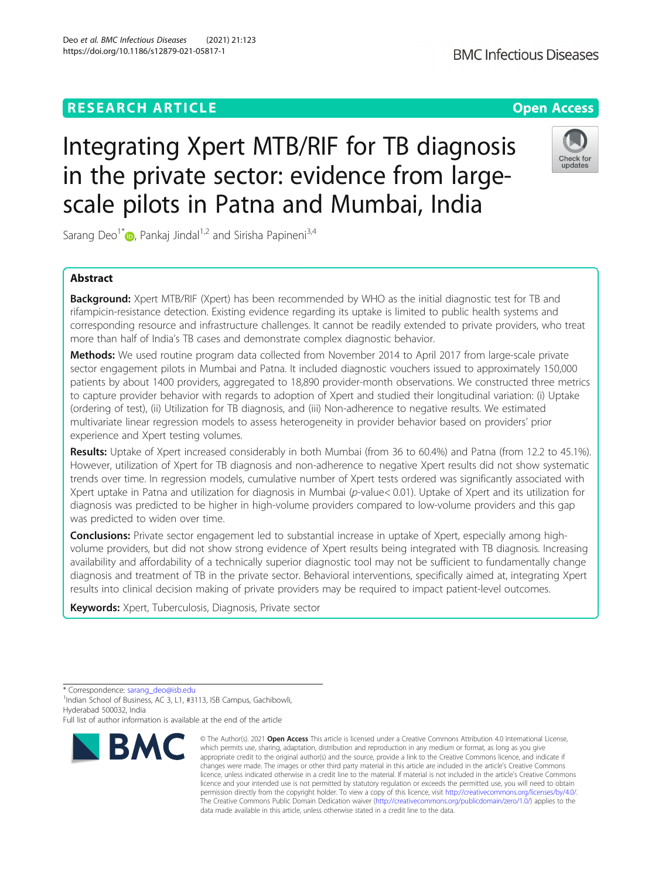# **RESEARCH ARTICLE Example 2014 12:30 The Contract of Contract ACCESS**

# Integrating Xpert MTB/RIF for TB diagnosis in the private sector: evidence from largescale pilots in Patna and Mumbai, India

Sarang Deo<sup>1[\\*](http://orcid.org/0000-0002-3233-6014)</sup>  $\bullet$ , Pankaj Jindal<sup>1,2</sup> and Sirisha Papineni<sup>3,4</sup>

# Abstract

Background: Xpert MTB/RIF (Xpert) has been recommended by WHO as the initial diagnostic test for TB and rifampicin-resistance detection. Existing evidence regarding its uptake is limited to public health systems and corresponding resource and infrastructure challenges. It cannot be readily extended to private providers, who treat more than half of India's TB cases and demonstrate complex diagnostic behavior.

Methods: We used routine program data collected from November 2014 to April 2017 from large-scale private sector engagement pilots in Mumbai and Patna. It included diagnostic vouchers issued to approximately 150,000 patients by about 1400 providers, aggregated to 18,890 provider-month observations. We constructed three metrics to capture provider behavior with regards to adoption of Xpert and studied their longitudinal variation: (i) Uptake (ordering of test), (ii) Utilization for TB diagnosis, and (iii) Non-adherence to negative results. We estimated multivariate linear regression models to assess heterogeneity in provider behavior based on providers' prior experience and Xpert testing volumes.

Results: Uptake of Xpert increased considerably in both Mumbai (from 36 to 60.4%) and Patna (from 12.2 to 45.1%). However, utilization of Xpert for TB diagnosis and non-adherence to negative Xpert results did not show systematic trends over time. In regression models, cumulative number of Xpert tests ordered was significantly associated with Xpert uptake in Patna and utilization for diagnosis in Mumbai (p-value< 0.01). Uptake of Xpert and its utilization for diagnosis was predicted to be higher in high-volume providers compared to low-volume providers and this gap was predicted to widen over time.

**Conclusions:** Private sector engagement led to substantial increase in uptake of Xpert, especially among highvolume providers, but did not show strong evidence of Xpert results being integrated with TB diagnosis. Increasing availability and affordability of a technically superior diagnostic tool may not be sufficient to fundamentally change diagnosis and treatment of TB in the private sector. Behavioral interventions, specifically aimed at, integrating Xpert results into clinical decision making of private providers may be required to impact patient-level outcomes.

Keywords: Xpert, Tuberculosis, Diagnosis, Private sector

 $1$ Indian School of Business, AC 3, L1, #3113, ISB Campus, Gachibowli, Hyderabad 500032, India



<sup>©</sup> The Author(s), 2021 **Open Access** This article is licensed under a Creative Commons Attribution 4.0 International License, which permits use, sharing, adaptation, distribution and reproduction in any medium or format, as long as you give appropriate credit to the original author(s) and the source, provide a link to the Creative Commons licence, and indicate if changes were made. The images or other third party material in this article are included in the article's Creative Commons licence, unless indicated otherwise in a credit line to the material. If material is not included in the article's Creative Commons licence and your intended use is not permitted by statutory regulation or exceeds the permitted use, you will need to obtain permission directly from the copyright holder. To view a copy of this licence, visit [http://creativecommons.org/licenses/by/4.0/.](http://creativecommons.org/licenses/by/4.0/) The Creative Commons Public Domain Dedication waiver [\(http://creativecommons.org/publicdomain/zero/1.0/](http://creativecommons.org/publicdomain/zero/1.0/)) applies to the data made available in this article, unless otherwise stated in a credit line to the data.





<sup>\*</sup> Correspondence: [sarang\\_deo@isb.edu](mailto:sarang_deo@isb.edu) <sup>1</sup>

Full list of author information is available at the end of the article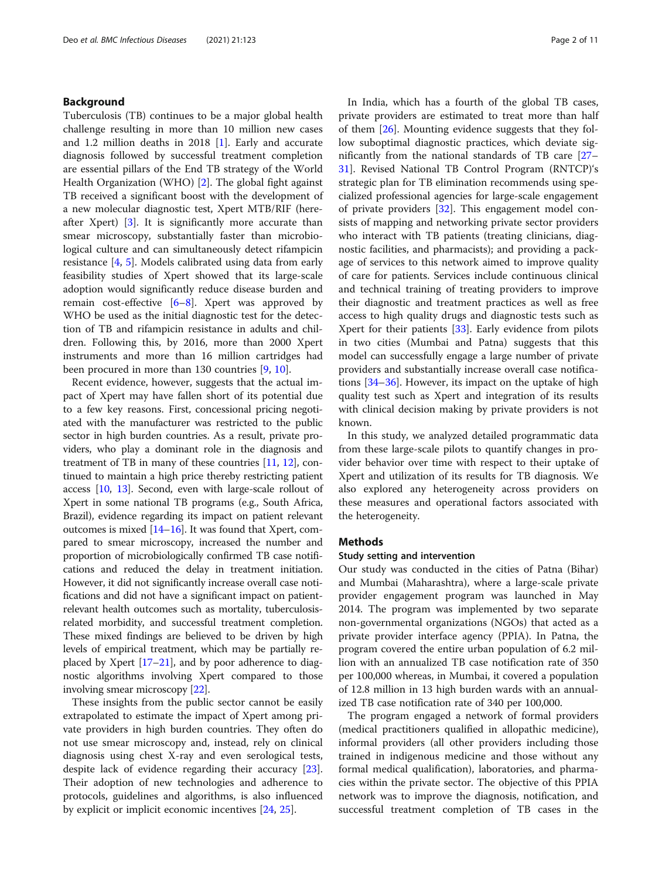# Background

Tuberculosis (TB) continues to be a major global health challenge resulting in more than 10 million new cases and 1.2 million deaths in 2018 [[1\]](#page-9-0). Early and accurate diagnosis followed by successful treatment completion are essential pillars of the End TB strategy of the World Health Organization (WHO) [[2\]](#page-9-0). The global fight against TB received a significant boost with the development of a new molecular diagnostic test, Xpert MTB/RIF (hereafter Xpert) [[3\]](#page-9-0). It is significantly more accurate than smear microscopy, substantially faster than microbiological culture and can simultaneously detect rifampicin resistance [[4,](#page-9-0) [5](#page-9-0)]. Models calibrated using data from early feasibility studies of Xpert showed that its large-scale adoption would significantly reduce disease burden and remain cost-effective [\[6](#page-9-0)–[8\]](#page-9-0). Xpert was approved by WHO be used as the initial diagnostic test for the detection of TB and rifampicin resistance in adults and children. Following this, by 2016, more than 2000 Xpert instruments and more than 16 million cartridges had been procured in more than 130 countries [\[9,](#page-9-0) [10\]](#page-9-0).

Recent evidence, however, suggests that the actual impact of Xpert may have fallen short of its potential due to a few key reasons. First, concessional pricing negotiated with the manufacturer was restricted to the public sector in high burden countries. As a result, private providers, who play a dominant role in the diagnosis and treatment of TB in many of these countries [[11](#page-9-0), [12](#page-9-0)], continued to maintain a high price thereby restricting patient access [[10,](#page-9-0) [13\]](#page-9-0). Second, even with large-scale rollout of Xpert in some national TB programs (e.g., South Africa, Brazil), evidence regarding its impact on patient relevant outcomes is mixed  $[14–16]$  $[14–16]$  $[14–16]$  $[14–16]$ . It was found that Xpert, compared to smear microscopy, increased the number and proportion of microbiologically confirmed TB case notifications and reduced the delay in treatment initiation. However, it did not significantly increase overall case notifications and did not have a significant impact on patientrelevant health outcomes such as mortality, tuberculosisrelated morbidity, and successful treatment completion. These mixed findings are believed to be driven by high levels of empirical treatment, which may be partially replaced by Xpert [[17](#page-9-0)–[21\]](#page-9-0), and by poor adherence to diagnostic algorithms involving Xpert compared to those involving smear microscopy [\[22\]](#page-9-0).

These insights from the public sector cannot be easily extrapolated to estimate the impact of Xpert among private providers in high burden countries. They often do not use smear microscopy and, instead, rely on clinical diagnosis using chest X-ray and even serological tests, despite lack of evidence regarding their accuracy [\[23](#page-9-0)]. Their adoption of new technologies and adherence to protocols, guidelines and algorithms, is also influenced by explicit or implicit economic incentives [[24,](#page-9-0) [25\]](#page-9-0).

In India, which has a fourth of the global TB cases, private providers are estimated to treat more than half of them [\[26](#page-9-0)]. Mounting evidence suggests that they follow suboptimal diagnostic practices, which deviate significantly from the national standards of TB care [[27](#page-9-0)– [31\]](#page-9-0). Revised National TB Control Program (RNTCP)'s strategic plan for TB elimination recommends using specialized professional agencies for large-scale engagement of private providers [[32\]](#page-9-0). This engagement model consists of mapping and networking private sector providers who interact with TB patients (treating clinicians, diagnostic facilities, and pharmacists); and providing a package of services to this network aimed to improve quality of care for patients. Services include continuous clinical and technical training of treating providers to improve their diagnostic and treatment practices as well as free access to high quality drugs and diagnostic tests such as Xpert for their patients [[33\]](#page-9-0). Early evidence from pilots in two cities (Mumbai and Patna) suggests that this model can successfully engage a large number of private providers and substantially increase overall case notifications [[34](#page-9-0)–[36](#page-9-0)]. However, its impact on the uptake of high quality test such as Xpert and integration of its results with clinical decision making by private providers is not known.

In this study, we analyzed detailed programmatic data from these large-scale pilots to quantify changes in provider behavior over time with respect to their uptake of Xpert and utilization of its results for TB diagnosis. We also explored any heterogeneity across providers on these measures and operational factors associated with the heterogeneity.

# **Methods**

### Study setting and intervention

Our study was conducted in the cities of Patna (Bihar) and Mumbai (Maharashtra), where a large-scale private provider engagement program was launched in May 2014. The program was implemented by two separate non-governmental organizations (NGOs) that acted as a private provider interface agency (PPIA). In Patna, the program covered the entire urban population of 6.2 million with an annualized TB case notification rate of 350 per 100,000 whereas, in Mumbai, it covered a population of 12.8 million in 13 high burden wards with an annualized TB case notification rate of 340 per 100,000.

The program engaged a network of formal providers (medical practitioners qualified in allopathic medicine), informal providers (all other providers including those trained in indigenous medicine and those without any formal medical qualification), laboratories, and pharmacies within the private sector. The objective of this PPIA network was to improve the diagnosis, notification, and successful treatment completion of TB cases in the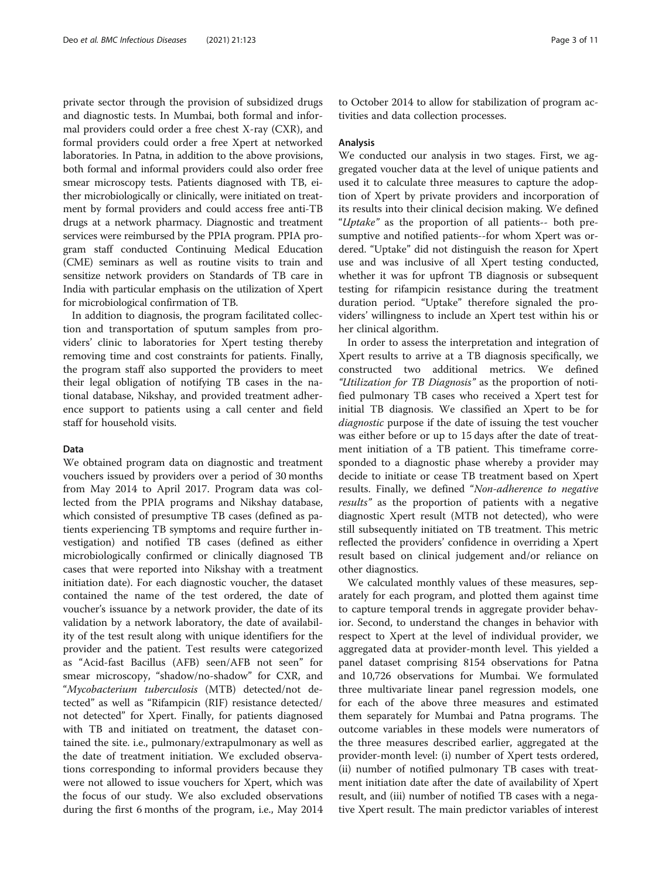private sector through the provision of subsidized drugs and diagnostic tests. In Mumbai, both formal and informal providers could order a free chest X-ray (CXR), and formal providers could order a free Xpert at networked laboratories. In Patna, in addition to the above provisions, both formal and informal providers could also order free smear microscopy tests. Patients diagnosed with TB, either microbiologically or clinically, were initiated on treatment by formal providers and could access free anti-TB drugs at a network pharmacy. Diagnostic and treatment services were reimbursed by the PPIA program. PPIA program staff conducted Continuing Medical Education (CME) seminars as well as routine visits to train and sensitize network providers on Standards of TB care in India with particular emphasis on the utilization of Xpert for microbiological confirmation of TB.

In addition to diagnosis, the program facilitated collection and transportation of sputum samples from providers' clinic to laboratories for Xpert testing thereby removing time and cost constraints for patients. Finally, the program staff also supported the providers to meet their legal obligation of notifying TB cases in the national database, Nikshay, and provided treatment adherence support to patients using a call center and field staff for household visits.

# Data

We obtained program data on diagnostic and treatment vouchers issued by providers over a period of 30 months from May 2014 to April 2017. Program data was collected from the PPIA programs and Nikshay database, which consisted of presumptive TB cases (defined as patients experiencing TB symptoms and require further investigation) and notified TB cases (defined as either microbiologically confirmed or clinically diagnosed TB cases that were reported into Nikshay with a treatment initiation date). For each diagnostic voucher, the dataset contained the name of the test ordered, the date of voucher's issuance by a network provider, the date of its validation by a network laboratory, the date of availability of the test result along with unique identifiers for the provider and the patient. Test results were categorized as "Acid-fast Bacillus (AFB) seen/AFB not seen" for smear microscopy, "shadow/no-shadow" for CXR, and "Mycobacterium tuberculosis (MTB) detected/not detected" as well as "Rifampicin (RIF) resistance detected/ not detected" for Xpert. Finally, for patients diagnosed with TB and initiated on treatment, the dataset contained the site. i.e., pulmonary/extrapulmonary as well as the date of treatment initiation. We excluded observations corresponding to informal providers because they were not allowed to issue vouchers for Xpert, which was the focus of our study. We also excluded observations during the first 6 months of the program, i.e., May 2014

to October 2014 to allow for stabilization of program activities and data collection processes.

# Analysis

We conducted our analysis in two stages. First, we aggregated voucher data at the level of unique patients and used it to calculate three measures to capture the adoption of Xpert by private providers and incorporation of its results into their clinical decision making. We defined "*Uptake*" as the proportion of all patients-- both presumptive and notified patients--for whom Xpert was ordered. "Uptake" did not distinguish the reason for Xpert use and was inclusive of all Xpert testing conducted, whether it was for upfront TB diagnosis or subsequent testing for rifampicin resistance during the treatment duration period. "Uptake" therefore signaled the providers' willingness to include an Xpert test within his or her clinical algorithm.

In order to assess the interpretation and integration of Xpert results to arrive at a TB diagnosis specifically, we constructed two additional metrics. We defined "Utilization for TB Diagnosis" as the proportion of notified pulmonary TB cases who received a Xpert test for initial TB diagnosis. We classified an Xpert to be for diagnostic purpose if the date of issuing the test voucher was either before or up to 15 days after the date of treatment initiation of a TB patient. This timeframe corresponded to a diagnostic phase whereby a provider may decide to initiate or cease TB treatment based on Xpert results. Finally, we defined "Non-adherence to negative results" as the proportion of patients with a negative diagnostic Xpert result (MTB not detected), who were still subsequently initiated on TB treatment. This metric reflected the providers' confidence in overriding a Xpert result based on clinical judgement and/or reliance on other diagnostics.

We calculated monthly values of these measures, separately for each program, and plotted them against time to capture temporal trends in aggregate provider behavior. Second, to understand the changes in behavior with respect to Xpert at the level of individual provider, we aggregated data at provider-month level. This yielded a panel dataset comprising 8154 observations for Patna and 10,726 observations for Mumbai. We formulated three multivariate linear panel regression models, one for each of the above three measures and estimated them separately for Mumbai and Patna programs. The outcome variables in these models were numerators of the three measures described earlier, aggregated at the provider-month level: (i) number of Xpert tests ordered, (ii) number of notified pulmonary TB cases with treatment initiation date after the date of availability of Xpert result, and (iii) number of notified TB cases with a negative Xpert result. The main predictor variables of interest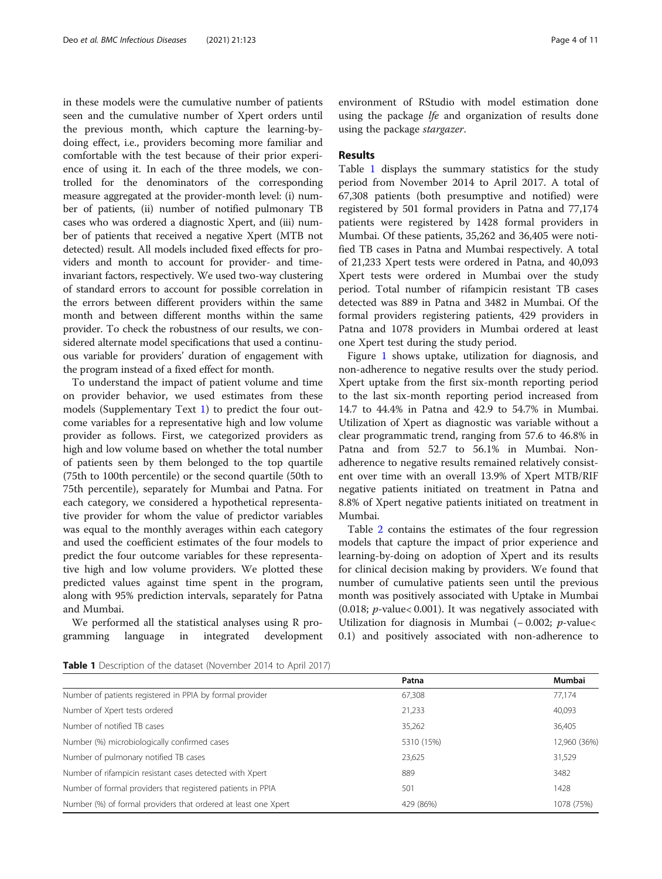in these models were the cumulative number of patients seen and the cumulative number of Xpert orders until the previous month, which capture the learning-bydoing effect, i.e., providers becoming more familiar and comfortable with the test because of their prior experience of using it. In each of the three models, we controlled for the denominators of the corresponding measure aggregated at the provider-month level: (i) number of patients, (ii) number of notified pulmonary TB cases who was ordered a diagnostic Xpert, and (iii) number of patients that received a negative Xpert (MTB not detected) result. All models included fixed effects for providers and month to account for provider- and timeinvariant factors, respectively. We used two-way clustering of standard errors to account for possible correlation in the errors between different providers within the same month and between different months within the same provider. To check the robustness of our results, we considered alternate model specifications that used a continuous variable for providers' duration of engagement with the program instead of a fixed effect for month.

To understand the impact of patient volume and time on provider behavior, we used estimates from these models (Supplementary Text [1](#page-8-0)) to predict the four outcome variables for a representative high and low volume provider as follows. First, we categorized providers as high and low volume based on whether the total number of patients seen by them belonged to the top quartile (75th to 100th percentile) or the second quartile (50th to 75th percentile), separately for Mumbai and Patna. For each category, we considered a hypothetical representative provider for whom the value of predictor variables was equal to the monthly averages within each category and used the coefficient estimates of the four models to predict the four outcome variables for these representative high and low volume providers. We plotted these predicted values against time spent in the program, along with 95% prediction intervals, separately for Patna and Mumbai.

We performed all the statistical analyses using R programming language in integrated development

environment of RStudio with model estimation done using the package lfe and organization of results done using the package stargazer.

# Results

Table 1 displays the summary statistics for the study period from November 2014 to April 2017. A total of 67,308 patients (both presumptive and notified) were registered by 501 formal providers in Patna and 77,174 patients were registered by 1428 formal providers in Mumbai. Of these patients, 35,262 and 36,405 were notified TB cases in Patna and Mumbai respectively. A total of 21,233 Xpert tests were ordered in Patna, and 40,093 Xpert tests were ordered in Mumbai over the study period. Total number of rifampicin resistant TB cases detected was 889 in Patna and 3482 in Mumbai. Of the formal providers registering patients, 429 providers in Patna and 1078 providers in Mumbai ordered at least one Xpert test during the study period.

Figure [1](#page-4-0) shows uptake, utilization for diagnosis, and non-adherence to negative results over the study period. Xpert uptake from the first six-month reporting period to the last six-month reporting period increased from 14.7 to 44.4% in Patna and 42.9 to 54.7% in Mumbai. Utilization of Xpert as diagnostic was variable without a clear programmatic trend, ranging from 57.6 to 46.8% in Patna and from 52.7 to 56.1% in Mumbai. Nonadherence to negative results remained relatively consistent over time with an overall 13.9% of Xpert MTB/RIF negative patients initiated on treatment in Patna and 8.8% of Xpert negative patients initiated on treatment in Mumbai.

Table [2](#page-4-0) contains the estimates of the four regression models that capture the impact of prior experience and learning-by-doing on adoption of Xpert and its results for clinical decision making by providers. We found that number of cumulative patients seen until the previous month was positively associated with Uptake in Mumbai (0.018;  $p$ -value< 0.001). It was negatively associated with Utilization for diagnosis in Mumbai ( $-0.002$ ; *p*-value< 0.1) and positively associated with non-adherence to

| <b>Table 1</b> Description of the dataset (November 2014 to April 2017) |  |
|-------------------------------------------------------------------------|--|
|-------------------------------------------------------------------------|--|

|                                                                | Patna      | Mumbai       |
|----------------------------------------------------------------|------------|--------------|
| Number of patients registered in PPIA by formal provider       | 67,308     | 77,174       |
| Number of Xpert tests ordered                                  | 21,233     | 40,093       |
| Number of notified TB cases                                    | 35,262     | 36,405       |
| Number (%) microbiologically confirmed cases                   | 5310 (15%) | 12,960 (36%) |
| Number of pulmonary notified TB cases                          | 23,625     | 31,529       |
| Number of rifampicin resistant cases detected with Xpert       | 889        | 3482         |
| Number of formal providers that registered patients in PPIA    | 501        | 1428         |
| Number (%) of formal providers that ordered at least one Xpert | 429 (86%)  | 1078 (75%)   |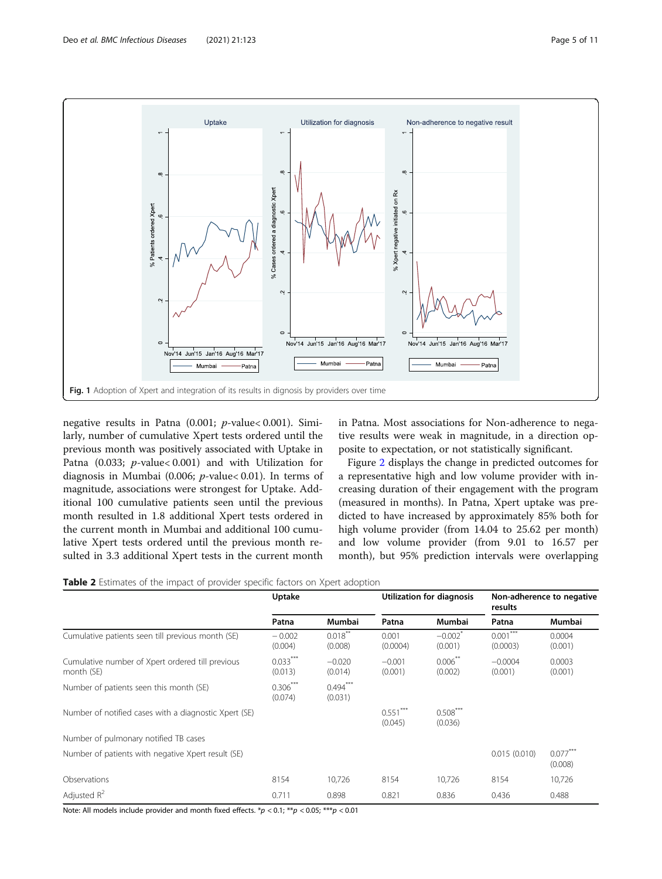<span id="page-4-0"></span>

negative results in Patna (0.001; p-value< 0.001). Similarly, number of cumulative Xpert tests ordered until the previous month was positively associated with Uptake in Patna (0.033; p-value< 0.001) and with Utilization for diagnosis in Mumbai (0.006; p-value< 0.01). In terms of magnitude, associations were strongest for Uptake. Additional 100 cumulative patients seen until the previous month resulted in 1.8 additional Xpert tests ordered in the current month in Mumbai and additional 100 cumulative Xpert tests ordered until the previous month resulted in 3.3 additional Xpert tests in the current month

in Patna. Most associations for Non-adherence to negative results were weak in magnitude, in a direction opposite to expectation, or not statistically significant.

Figure [2](#page-5-0) displays the change in predicted outcomes for a representative high and low volume provider with increasing duration of their engagement with the program (measured in months). In Patna, Xpert uptake was predicted to have increased by approximately 85% both for high volume provider (from 14.04 to 25.62 per month) and low volume provider (from 9.01 to 16.57 per month), but 95% prediction intervals were overlapping

Table 2 Estimates of the impact of provider specific factors on Xpert adoption

|                                                                | Uptake                |                       | Utilization for diagnosis |                                  | Non-adherence to negative<br>results |                       |
|----------------------------------------------------------------|-----------------------|-----------------------|---------------------------|----------------------------------|--------------------------------------|-----------------------|
|                                                                | Patna                 | Mumbai                | Patna                     | Mumbai                           | Patna                                | Mumbai                |
| Cumulative patients seen till previous month (SE)              | $-0.002$<br>(0.004)   | $0.018***$<br>(0.008) | 0.001<br>(0.0004)         | $-0.002$ <sup>2</sup><br>(0.001) | $***$<br>0.001<br>(0.0003)           | 0.0004<br>(0.001)     |
| Cumulative number of Xpert ordered till previous<br>month (SE) | $0.033***$<br>(0.013) | $-0.020$<br>(0.014)   | $-0.001$<br>(0.001)       | $0.006***$<br>(0.002)            | $-0.0004$<br>(0.001)                 | 0.0003<br>(0.001)     |
| Number of patients seen this month (SE)                        | $0.306***$<br>(0.074) | $0.494***$<br>(0.031) |                           |                                  |                                      |                       |
| Number of notified cases with a diagnostic Xpert (SE)          |                       |                       | $0.551***$<br>(0.045)     | $0.508***$<br>(0.036)            |                                      |                       |
| Number of pulmonary notified TB cases                          |                       |                       |                           |                                  |                                      |                       |
| Number of patients with negative Xpert result (SE)             |                       |                       |                           |                                  | 0.015(0.010)                         | $0.077***$<br>(0.008) |
| Observations                                                   | 8154                  | 10,726                | 8154                      | 10,726                           | 8154                                 | 10,726                |
| Adjusted $R^2$                                                 | 0.711                 | 0.898                 | 0.821                     | 0.836                            | 0.436                                | 0.488                 |

Note: All models include provider and month fixed effects.  $*p < 0.1$ ;  $**p < 0.05$ ;  $***p < 0.01$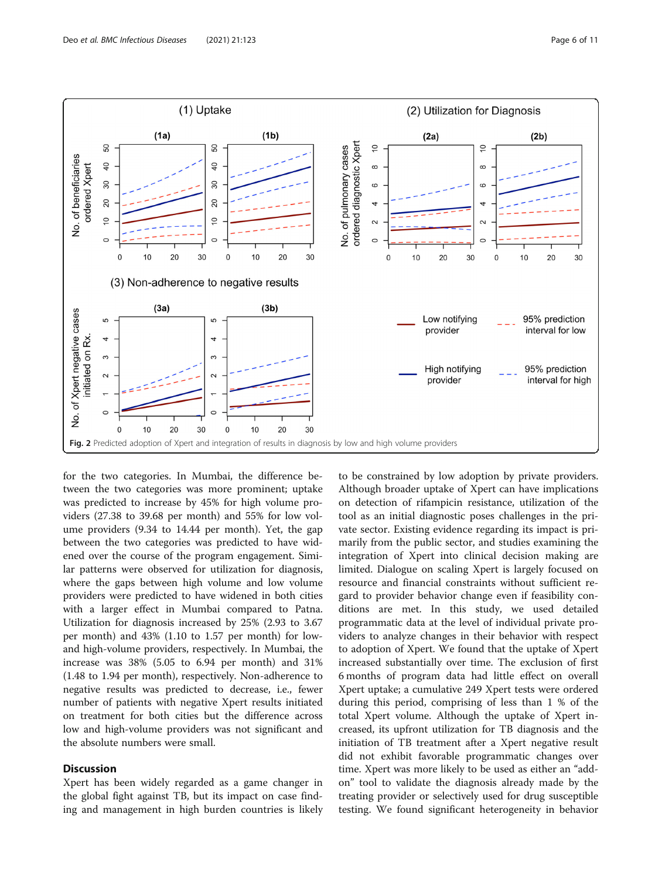<span id="page-5-0"></span>

for the two categories. In Mumbai, the difference between the two categories was more prominent; uptake was predicted to increase by 45% for high volume providers (27.38 to 39.68 per month) and 55% for low volume providers (9.34 to 14.44 per month). Yet, the gap between the two categories was predicted to have widened over the course of the program engagement. Similar patterns were observed for utilization for diagnosis, where the gaps between high volume and low volume providers were predicted to have widened in both cities with a larger effect in Mumbai compared to Patna. Utilization for diagnosis increased by 25% (2.93 to 3.67 per month) and 43% (1.10 to 1.57 per month) for lowand high-volume providers, respectively. In Mumbai, the increase was 38% (5.05 to 6.94 per month) and 31% (1.48 to 1.94 per month), respectively. Non-adherence to negative results was predicted to decrease, i.e., fewer number of patients with negative Xpert results initiated on treatment for both cities but the difference across low and high-volume providers was not significant and the absolute numbers were small.

# **Discussion**

Xpert has been widely regarded as a game changer in the global fight against TB, but its impact on case finding and management in high burden countries is likely

to be constrained by low adoption by private providers. Although broader uptake of Xpert can have implications on detection of rifampicin resistance, utilization of the tool as an initial diagnostic poses challenges in the private sector. Existing evidence regarding its impact is primarily from the public sector, and studies examining the integration of Xpert into clinical decision making are limited. Dialogue on scaling Xpert is largely focused on resource and financial constraints without sufficient regard to provider behavior change even if feasibility conditions are met. In this study, we used detailed programmatic data at the level of individual private providers to analyze changes in their behavior with respect to adoption of Xpert. We found that the uptake of Xpert increased substantially over time. The exclusion of first 6 months of program data had little effect on overall Xpert uptake; a cumulative 249 Xpert tests were ordered during this period, comprising of less than 1 % of the total Xpert volume. Although the uptake of Xpert increased, its upfront utilization for TB diagnosis and the initiation of TB treatment after a Xpert negative result did not exhibit favorable programmatic changes over time. Xpert was more likely to be used as either an "addon" tool to validate the diagnosis already made by the treating provider or selectively used for drug susceptible testing. We found significant heterogeneity in behavior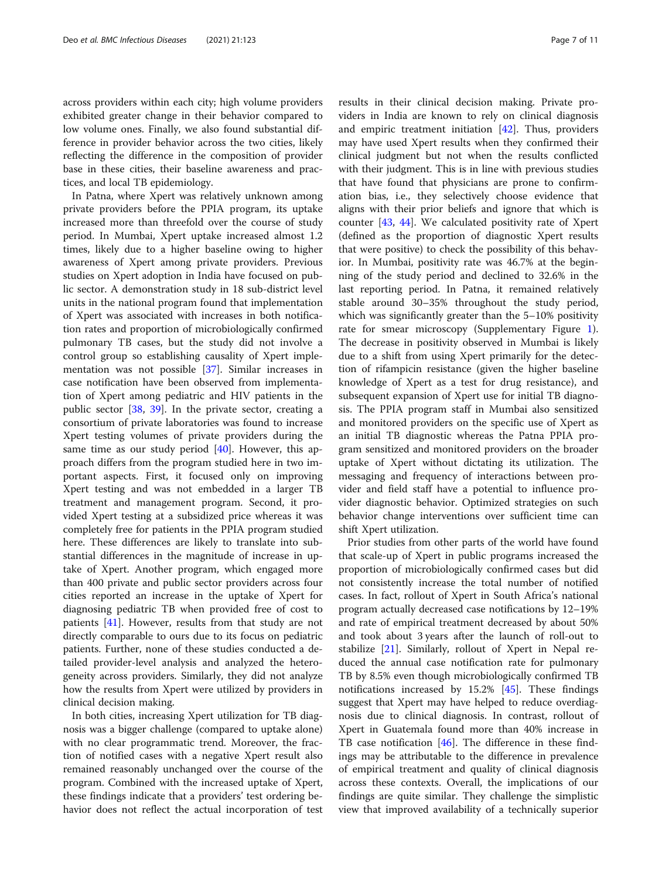across providers within each city; high volume providers exhibited greater change in their behavior compared to low volume ones. Finally, we also found substantial difference in provider behavior across the two cities, likely reflecting the difference in the composition of provider base in these cities, their baseline awareness and practices, and local TB epidemiology.

In Patna, where Xpert was relatively unknown among private providers before the PPIA program, its uptake increased more than threefold over the course of study period. In Mumbai, Xpert uptake increased almost 1.2 times, likely due to a higher baseline owing to higher awareness of Xpert among private providers. Previous studies on Xpert adoption in India have focused on public sector. A demonstration study in 18 sub-district level units in the national program found that implementation of Xpert was associated with increases in both notification rates and proportion of microbiologically confirmed pulmonary TB cases, but the study did not involve a control group so establishing causality of Xpert implementation was not possible [\[37\]](#page-9-0). Similar increases in case notification have been observed from implementation of Xpert among pediatric and HIV patients in the public sector [[38](#page-9-0), [39\]](#page-9-0). In the private sector, creating a consortium of private laboratories was found to increase Xpert testing volumes of private providers during the same time as our study period [[40](#page-9-0)]. However, this approach differs from the program studied here in two important aspects. First, it focused only on improving Xpert testing and was not embedded in a larger TB treatment and management program. Second, it provided Xpert testing at a subsidized price whereas it was completely free for patients in the PPIA program studied here. These differences are likely to translate into substantial differences in the magnitude of increase in uptake of Xpert. Another program, which engaged more than 400 private and public sector providers across four cities reported an increase in the uptake of Xpert for diagnosing pediatric TB when provided free of cost to patients [\[41](#page-9-0)]. However, results from that study are not directly comparable to ours due to its focus on pediatric patients. Further, none of these studies conducted a detailed provider-level analysis and analyzed the heterogeneity across providers. Similarly, they did not analyze how the results from Xpert were utilized by providers in clinical decision making.

In both cities, increasing Xpert utilization for TB diagnosis was a bigger challenge (compared to uptake alone) with no clear programmatic trend. Moreover, the fraction of notified cases with a negative Xpert result also remained reasonably unchanged over the course of the program. Combined with the increased uptake of Xpert, these findings indicate that a providers' test ordering behavior does not reflect the actual incorporation of test

results in their clinical decision making. Private providers in India are known to rely on clinical diagnosis and empiric treatment initiation [[42\]](#page-9-0). Thus, providers may have used Xpert results when they confirmed their clinical judgment but not when the results conflicted with their judgment. This is in line with previous studies that have found that physicians are prone to confirmation bias, i.e., they selectively choose evidence that aligns with their prior beliefs and ignore that which is counter [[43](#page-9-0), [44](#page-9-0)]. We calculated positivity rate of Xpert (defined as the proportion of diagnostic Xpert results that were positive) to check the possibility of this behavior. In Mumbai, positivity rate was 46.7% at the beginning of the study period and declined to 32.6% in the last reporting period. In Patna, it remained relatively stable around 30–35% throughout the study period, which was significantly greater than the 5–10% positivity rate for smear microscopy (Supplementary Figure [1](#page-8-0)). The decrease in positivity observed in Mumbai is likely due to a shift from using Xpert primarily for the detection of rifampicin resistance (given the higher baseline knowledge of Xpert as a test for drug resistance), and subsequent expansion of Xpert use for initial TB diagnosis. The PPIA program staff in Mumbai also sensitized and monitored providers on the specific use of Xpert as an initial TB diagnostic whereas the Patna PPIA program sensitized and monitored providers on the broader uptake of Xpert without dictating its utilization. The messaging and frequency of interactions between provider and field staff have a potential to influence provider diagnostic behavior. Optimized strategies on such behavior change interventions over sufficient time can shift Xpert utilization.

Prior studies from other parts of the world have found that scale-up of Xpert in public programs increased the proportion of microbiologically confirmed cases but did not consistently increase the total number of notified cases. In fact, rollout of Xpert in South Africa's national program actually decreased case notifications by 12–19% and rate of empirical treatment decreased by about 50% and took about 3 years after the launch of roll-out to stabilize [[21\]](#page-9-0). Similarly, rollout of Xpert in Nepal reduced the annual case notification rate for pulmonary TB by 8.5% even though microbiologically confirmed TB notifications increased by 15.2% [\[45](#page-10-0)]. These findings suggest that Xpert may have helped to reduce overdiagnosis due to clinical diagnosis. In contrast, rollout of Xpert in Guatemala found more than 40% increase in TB case notification [[46\]](#page-10-0). The difference in these findings may be attributable to the difference in prevalence of empirical treatment and quality of clinical diagnosis across these contexts. Overall, the implications of our findings are quite similar. They challenge the simplistic view that improved availability of a technically superior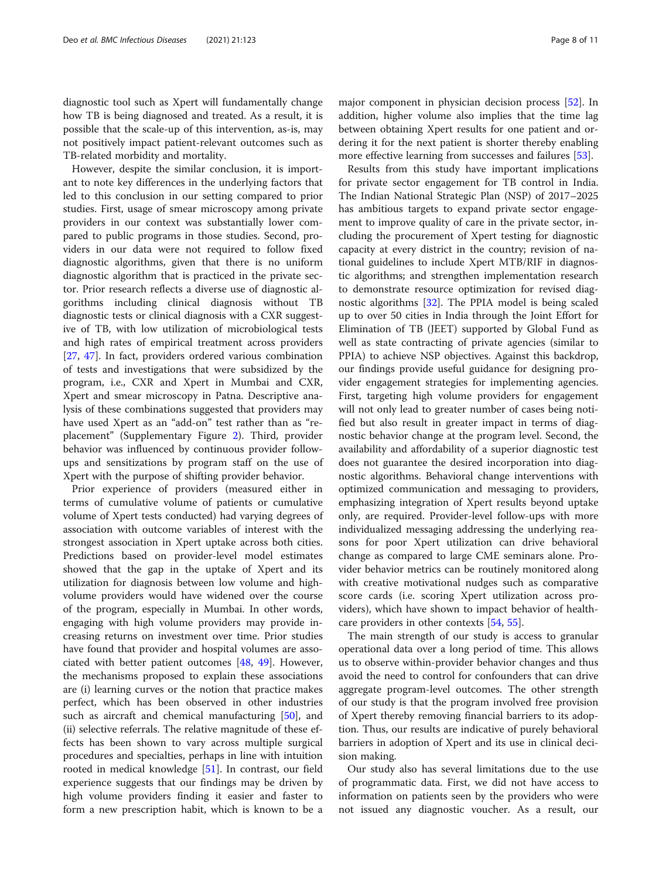diagnostic tool such as Xpert will fundamentally change how TB is being diagnosed and treated. As a result, it is possible that the scale-up of this intervention, as-is, may not positively impact patient-relevant outcomes such as TB-related morbidity and mortality.

However, despite the similar conclusion, it is important to note key differences in the underlying factors that led to this conclusion in our setting compared to prior studies. First, usage of smear microscopy among private providers in our context was substantially lower compared to public programs in those studies. Second, providers in our data were not required to follow fixed diagnostic algorithms, given that there is no uniform diagnostic algorithm that is practiced in the private sector. Prior research reflects a diverse use of diagnostic algorithms including clinical diagnosis without TB diagnostic tests or clinical diagnosis with a CXR suggestive of TB, with low utilization of microbiological tests and high rates of empirical treatment across providers [[27,](#page-9-0) [47\]](#page-10-0). In fact, providers ordered various combination of tests and investigations that were subsidized by the program, i.e., CXR and Xpert in Mumbai and CXR, Xpert and smear microscopy in Patna. Descriptive analysis of these combinations suggested that providers may have used Xpert as an "add-on" test rather than as "replacement" (Supplementary Figure [2](#page-8-0)). Third, provider behavior was influenced by continuous provider followups and sensitizations by program staff on the use of Xpert with the purpose of shifting provider behavior.

Prior experience of providers (measured either in terms of cumulative volume of patients or cumulative volume of Xpert tests conducted) had varying degrees of association with outcome variables of interest with the strongest association in Xpert uptake across both cities. Predictions based on provider-level model estimates showed that the gap in the uptake of Xpert and its utilization for diagnosis between low volume and highvolume providers would have widened over the course of the program, especially in Mumbai. In other words, engaging with high volume providers may provide increasing returns on investment over time. Prior studies have found that provider and hospital volumes are associated with better patient outcomes [[48,](#page-10-0) [49](#page-10-0)]. However, the mechanisms proposed to explain these associations are (i) learning curves or the notion that practice makes perfect, which has been observed in other industries such as aircraft and chemical manufacturing [[50](#page-10-0)], and (ii) selective referrals. The relative magnitude of these effects has been shown to vary across multiple surgical procedures and specialties, perhaps in line with intuition rooted in medical knowledge [[51\]](#page-10-0). In contrast, our field experience suggests that our findings may be driven by high volume providers finding it easier and faster to form a new prescription habit, which is known to be a

major component in physician decision process [[52\]](#page-10-0). In addition, higher volume also implies that the time lag between obtaining Xpert results for one patient and ordering it for the next patient is shorter thereby enabling more effective learning from successes and failures [[53\]](#page-10-0).

Results from this study have important implications for private sector engagement for TB control in India. The Indian National Strategic Plan (NSP) of 2017–2025 has ambitious targets to expand private sector engagement to improve quality of care in the private sector, including the procurement of Xpert testing for diagnostic capacity at every district in the country; revision of national guidelines to include Xpert MTB/RIF in diagnostic algorithms; and strengthen implementation research to demonstrate resource optimization for revised diagnostic algorithms [[32](#page-9-0)]. The PPIA model is being scaled up to over 50 cities in India through the Joint Effort for Elimination of TB (JEET) supported by Global Fund as well as state contracting of private agencies (similar to PPIA) to achieve NSP objectives. Against this backdrop, our findings provide useful guidance for designing provider engagement strategies for implementing agencies. First, targeting high volume providers for engagement will not only lead to greater number of cases being notified but also result in greater impact in terms of diagnostic behavior change at the program level. Second, the availability and affordability of a superior diagnostic test does not guarantee the desired incorporation into diagnostic algorithms. Behavioral change interventions with optimized communication and messaging to providers, emphasizing integration of Xpert results beyond uptake only, are required. Provider-level follow-ups with more individualized messaging addressing the underlying reasons for poor Xpert utilization can drive behavioral change as compared to large CME seminars alone. Provider behavior metrics can be routinely monitored along with creative motivational nudges such as comparative score cards (i.e. scoring Xpert utilization across providers), which have shown to impact behavior of healthcare providers in other contexts [[54](#page-10-0), [55](#page-10-0)].

The main strength of our study is access to granular operational data over a long period of time. This allows us to observe within-provider behavior changes and thus avoid the need to control for confounders that can drive aggregate program-level outcomes. The other strength of our study is that the program involved free provision of Xpert thereby removing financial barriers to its adoption. Thus, our results are indicative of purely behavioral barriers in adoption of Xpert and its use in clinical decision making.

Our study also has several limitations due to the use of programmatic data. First, we did not have access to information on patients seen by the providers who were not issued any diagnostic voucher. As a result, our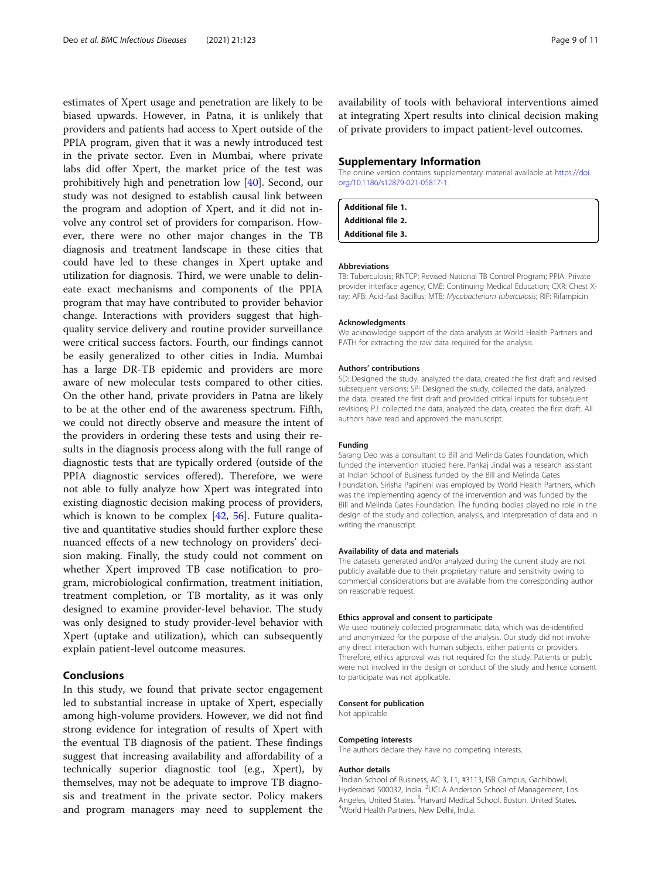<span id="page-8-0"></span>estimates of Xpert usage and penetration are likely to be biased upwards. However, in Patna, it is unlikely that providers and patients had access to Xpert outside of the PPIA program, given that it was a newly introduced test in the private sector. Even in Mumbai, where private labs did offer Xpert, the market price of the test was prohibitively high and penetration low [[40](#page-9-0)]. Second, our study was not designed to establish causal link between the program and adoption of Xpert, and it did not involve any control set of providers for comparison. However, there were no other major changes in the TB diagnosis and treatment landscape in these cities that could have led to these changes in Xpert uptake and utilization for diagnosis. Third, we were unable to delineate exact mechanisms and components of the PPIA program that may have contributed to provider behavior change. Interactions with providers suggest that highquality service delivery and routine provider surveillance were critical success factors. Fourth, our findings cannot be easily generalized to other cities in India. Mumbai has a large DR-TB epidemic and providers are more aware of new molecular tests compared to other cities. On the other hand, private providers in Patna are likely to be at the other end of the awareness spectrum. Fifth, we could not directly observe and measure the intent of the providers in ordering these tests and using their results in the diagnosis process along with the full range of diagnostic tests that are typically ordered (outside of the PPIA diagnostic services offered). Therefore, we were not able to fully analyze how Xpert was integrated into existing diagnostic decision making process of providers, which is known to be complex  $[42, 56]$  $[42, 56]$  $[42, 56]$  $[42, 56]$  $[42, 56]$ . Future qualitative and quantitative studies should further explore these nuanced effects of a new technology on providers' decision making. Finally, the study could not comment on whether Xpert improved TB case notification to program, microbiological confirmation, treatment initiation, treatment completion, or TB mortality, as it was only designed to examine provider-level behavior. The study was only designed to study provider-level behavior with Xpert (uptake and utilization), which can subsequently explain patient-level outcome measures.

# Conclusions

In this study, we found that private sector engagement led to substantial increase in uptake of Xpert, especially among high-volume providers. However, we did not find strong evidence for integration of results of Xpert with the eventual TB diagnosis of the patient. These findings suggest that increasing availability and affordability of a technically superior diagnostic tool (e.g., Xpert), by themselves, may not be adequate to improve TB diagnosis and treatment in the private sector. Policy makers and program managers may need to supplement the availability of tools with behavioral interventions aimed at integrating Xpert results into clinical decision making of private providers to impact patient-level outcomes.

#### Supplementary Information

The online version contains supplementary material available at [https://doi.](https://doi.org/10.1186/s12879-021-05817-1) [org/10.1186/s12879-021-05817-1.](https://doi.org/10.1186/s12879-021-05817-1)

Additional file 1. Additional file 2. Additional file 3.

#### Abbreviations

TB: Tuberculosis; RNTCP: Revised National TB Control Program; PPIA: Private provider interface agency; CME: Continuing Medical Education; CXR: Chest Xray; AFB: Acid-fast Bacillus; MTB: Mycobacterium tuberculosis; RIF: Rifampicin

#### Acknowledgments

We acknowledge support of the data analysts at World Health Partners and PATH for extracting the raw data required for the analysis.

#### Authors' contributions

SD: Designed the study, analyzed the data, created the first draft and revised subsequent versions; SP: Designed the study, collected the data, analyzed the data, created the first draft and provided critical inputs for subsequent revisions; PJ: collected the data, analyzed the data, created the first draft. All authors have read and approved the manuscript.

#### Funding

Sarang Deo was a consultant to Bill and Melinda Gates Foundation, which funded the intervention studied here. Pankaj Jindal was a research assistant at Indian School of Business funded by the Bill and Melinda Gates Foundation. Sirisha Papineni was employed by World Health Partners, which was the implementing agency of the intervention and was funded by the Bill and Melinda Gates Foundation. The funding bodies played no role in the design of the study and collection, analysis, and interpretation of data and in writing the manuscript.

#### Availability of data and materials

The datasets generated and/or analyzed during the current study are not publicly available due to their proprietary nature and sensitivity owing to commercial considerations but are available from the corresponding author on reasonable request.

#### Ethics approval and consent to participate

We used routinely collected programmatic data, which was de-identified and anonymized for the purpose of the analysis. Our study did not involve any direct interaction with human subjects, either patients or providers. Therefore, ethics approval was not required for the study. Patients or public were not involved in the design or conduct of the study and hence consent to participate was not applicable.

#### Consent for publication

Not applicable

#### Competing interests

The authors declare they have no competing interests.

#### Author details

<sup>1</sup>Indian School of Business, AC 3, L1, #3113, ISB Campus, Gachibowli Hyderabad 500032, India. <sup>2</sup>UCLA Anderson School of Management, Los Angeles, United States. <sup>3</sup>Harvard Medical School, Boston, United States.<br><sup>4</sup>World Hoalth Partners, Now Delhi India. World Health Partners, New Delhi, India.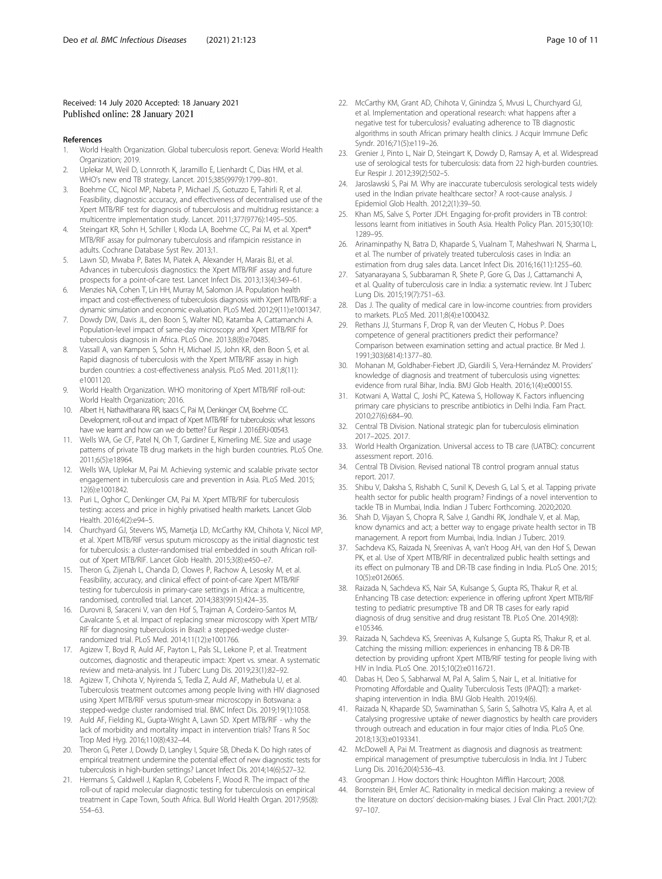# <span id="page-9-0"></span>Received: 14 July 2020 Accepted: 18 January 2021 Published online: 28 January 2021

#### References

- 1. World Health Organization. Global tuberculosis report. Geneva: World Health Organization; 2019.
- Uplekar M, Weil D, Lonnroth K, Jaramillo E, Lienhardt C, Dias HM, et al. WHO's new end TB strategy. Lancet. 2015;385(9979):1799–801.
- 3. Boehme CC, Nicol MP, Nabeta P, Michael JS, Gotuzzo E, Tahirli R, et al. Feasibility, diagnostic accuracy, and effectiveness of decentralised use of the Xpert MTB/RIF test for diagnosis of tuberculosis and multidrug resistance: a multicentre implementation study. Lancet. 2011;377(9776):1495–505.
- Steingart KR, Sohn H, Schiller I, Kloda LA, Boehme CC, Pai M, et al. Xpert® MTB/RIF assay for pulmonary tuberculosis and rifampicin resistance in adults. Cochrane Database Syst Rev. 2013;1.
- 5. Lawn SD, Mwaba P, Bates M, Piatek A, Alexander H, Marais BJ, et al. Advances in tuberculosis diagnostics: the Xpert MTB/RIF assay and future prospects for a point-of-care test. Lancet Infect Dis. 2013;13(4):349–61.
- 6. Menzies NA, Cohen T, Lin HH, Murray M, Salomon JA. Population health impact and cost-effectiveness of tuberculosis diagnosis with Xpert MTB/RIF: a dynamic simulation and economic evaluation. PLoS Med. 2012;9(11):e1001347.
- 7. Dowdy DW, Davis JL, den Boon S, Walter ND, Katamba A, Cattamanchi A. Population-level impact of same-day microscopy and Xpert MTB/RIF for tuberculosis diagnosis in Africa. PLoS One. 2013;8(8):e70485.
- 8. Vassall A, van Kampen S, Sohn H, Michael JS, John KR, den Boon S, et al. Rapid diagnosis of tuberculosis with the Xpert MTB/RIF assay in high burden countries: a cost-effectiveness analysis. PLoS Med. 2011;8(11): e1001120.
- 9. World Health Organization. WHO monitoring of Xpert MTB/RIF roll-out: World Health Organization; 2016.
- 10. Albert H, Nathavitharana RR, Isaacs C, Pai M, Denkinger CM, Boehme CC. Development, roll-out and impact of Xpert MTB/RIF for tuberculosis: what lessons have we learnt and how can we do better? Eur Respir J. 2016:ERJ-00543.
- 11. Wells WA, Ge CF, Patel N, Oh T, Gardiner E, Kimerling ME. Size and usage patterns of private TB drug markets in the high burden countries. PLoS One. 2011;6(5):e18964.
- 12. Wells WA, Uplekar M, Pai M. Achieving systemic and scalable private sector engagement in tuberculosis care and prevention in Asia. PLoS Med. 2015; 12(6):e1001842.
- 13. Puri L, Oghor C, Denkinger CM, Pai M. Xpert MTB/RIF for tuberculosis testing: access and price in highly privatised health markets. Lancet Glob Health. 2016;4(2):e94–5.
- 14. Churchyard GJ, Stevens WS, Mametja LD, McCarthy KM, Chihota V, Nicol MP, et al. Xpert MTB/RIF versus sputum microscopy as the initial diagnostic test for tuberculosis: a cluster-randomised trial embedded in south African rollout of Xpert MTB/RIF. Lancet Glob Health. 2015;3(8):e450–e7.
- 15. Theron G, Zijenah L, Chanda D, Clowes P, Rachow A, Lesosky M, et al. Feasibility, accuracy, and clinical effect of point-of-care Xpert MTB/RIF testing for tuberculosis in primary-care settings in Africa: a multicentre, randomised, controlled trial. Lancet. 2014;383(9915):424–35.
- 16. Durovni B, Saraceni V, van den Hof S, Trajman A, Cordeiro-Santos M, Cavalcante S, et al. Impact of replacing smear microscopy with Xpert MTB/ RIF for diagnosing tuberculosis in Brazil: a stepped-wedge clusterrandomized trial. PLoS Med. 2014;11(12):e1001766.
- 17. Agizew T, Boyd R, Auld AF, Payton L, Pals SL, Lekone P, et al. Treatment outcomes, diagnostic and therapeutic impact: Xpert vs. smear. A systematic review and meta-analysis. Int J Tuberc Lung Dis. 2019;23(1):82–92.
- 18. Agizew T, Chihota V, Nyirenda S, Tedla Z, Auld AF, Mathebula U, et al. Tuberculosis treatment outcomes among people living with HIV diagnosed using Xpert MTB/RIF versus sputum-smear microscopy in Botswana: a stepped-wedge cluster randomised trial. BMC Infect Dis. 2019;19(1):1058.
- 19. Auld AF, Fielding KL, Gupta-Wright A, Lawn SD. Xpert MTB/RIF why the lack of morbidity and mortality impact in intervention trials? Trans R Soc Trop Med Hyg. 2016;110(8):432–44.
- 20. Theron G, Peter J, Dowdy D, Langley I, Squire SB, Dheda K. Do high rates of empirical treatment undermine the potential effect of new diagnostic tests for tuberculosis in high-burden settings? Lancet Infect Dis. 2014;14(6):527–32.
- 21. Hermans S, Caldwell J, Kaplan R, Cobelens F, Wood R. The impact of the roll-out of rapid molecular diagnostic testing for tuberculosis on empirical treatment in Cape Town, South Africa. Bull World Health Organ. 2017;95(8): 554–63.
- 22. McCarthy KM, Grant AD, Chihota V, Ginindza S, Mvusi L, Churchyard GJ, et al. Implementation and operational research: what happens after a negative test for tuberculosis? evaluating adherence to TB diagnostic algorithms in south African primary health clinics. J Acquir Immune Defic Syndr. 2016;71(5):e119–26.
- 23. Grenier J, Pinto L, Nair D, Steingart K, Dowdy D, Ramsay A, et al. Widespread use of serological tests for tuberculosis: data from 22 high-burden countries. Eur Respir J. 2012;39(2):502–5.
- 24. Jaroslawski S, Pai M. Why are inaccurate tuberculosis serological tests widely used in the Indian private healthcare sector? A root-cause analysis. J Epidemiol Glob Health. 2012;2(1):39–50.
- 25. Khan MS, Salve S, Porter JDH. Engaging for-profit providers in TB control: lessons learnt from initiatives in South Asia. Health Policy Plan. 2015;30(10): 1289–95.
- 26. Arinaminpathy N, Batra D, Khaparde S, Vualnam T, Maheshwari N, Sharma L, et al. The number of privately treated tuberculosis cases in India: an estimation from drug sales data. Lancet Infect Dis. 2016;16(11):1255–60.
- 27. Satyanarayana S, Subbaraman R, Shete P, Gore G, Das J, Cattamanchi A, et al. Quality of tuberculosis care in India: a systematic review. Int J Tuberc Lung Dis. 2015;19(7):751–63.
- 28. Das J. The quality of medical care in low-income countries: from providers to markets. PLoS Med. 2011;8(4):e1000432.
- 29. Rethans JJ, Sturmans F, Drop R, van der Vleuten C, Hobus P. Does competence of general practitioners predict their performance? Comparison between examination setting and actual practice. Br Med J. 1991;303(6814):1377–80.
- 30. Mohanan M, Goldhaber-Fiebert JD, Giardili S, Vera-Hernández M. Providers' knowledge of diagnosis and treatment of tuberculosis using vignettes: evidence from rural Bihar, India. BMJ Glob Health. 2016;1(4):e000155.
- 31. Kotwani A, Wattal C, Joshi PC, Katewa S, Holloway K. Factors influencing primary care physicians to prescribe antibiotics in Delhi India. Fam Pract. 2010;27(6):684–90.
- 32. Central TB Division. National strategic plan for tuberculosis elimination 2017–2025. 2017.
- 33. World Health Organization. Universal access to TB care (UATBC): concurrent assessment report. 2016.
- 34. Central TB Division. Revised national TB control program annual status report. 2017.
- 35. Shibu V, Daksha S, Rishabh C, Sunil K, Devesh G, Lal S, et al. Tapping private health sector for public health program? Findings of a novel intervention to tackle TB in Mumbai, India. Indian J Tuberc Forthcoming. 2020;2020.
- 36. Shah D, Vijayan S, Chopra R, Salve J, Gandhi RK, Jondhale V, et al. Map, know dynamics and act; a better way to engage private health sector in TB management. A report from Mumbai, India. Indian J Tuberc. 2019.
- 37. Sachdeva KS, Raizada N, Sreenivas A, van't Hoog AH, van den Hof S, Dewan PK, et al. Use of Xpert MTB/RIF in decentralized public health settings and its effect on pulmonary TB and DR-TB case finding in India. PLoS One. 2015; 10(5):e0126065.
- 38. Raizada N, Sachdeva KS, Nair SA, Kulsange S, Gupta RS, Thakur R, et al. Enhancing TB case detection: experience in offering upfront Xpert MTB/RIF testing to pediatric presumptive TB and DR TB cases for early rapid diagnosis of drug sensitive and drug resistant TB. PLoS One. 2014;9(8): e105346.
- 39. Raizada N, Sachdeva KS, Sreenivas A, Kulsange S, Gupta RS, Thakur R, et al. Catching the missing million: experiences in enhancing TB & DR-TB detection by providing upfront Xpert MTB/RIF testing for people living with HIV in India. PLoS One. 2015;10(2):e0116721.
- 40. Dabas H, Deo S, Sabharwal M, Pal A, Salim S, Nair L, et al. Initiative for Promoting Affordable and Quality Tuberculosis Tests (IPAQT): a marketshaping intervention in India. BMJ Glob Health. 2019;4(6).
- 41. Raizada N, Khaparde SD, Swaminathan S, Sarin S, Salhotra VS, Kalra A, et al. Catalysing progressive uptake of newer diagnostics by health care providers through outreach and education in four major cities of India. PLoS One. 2018;13(3):e0193341.
- 42. McDowell A, Pai M. Treatment as diagnosis and diagnosis as treatment: empirical management of presumptive tuberculosis in India. Int J Tuberc Lung Dis. 2016;20(4):536–43.
- 43. Groopman J. How doctors think: Houghton Mifflin Harcourt; 2008.
- Bornstein BH, Emler AC. Rationality in medical decision making: a review of the literature on doctors' decision-making biases. J Eval Clin Pract. 2001;7(2): 97–107.